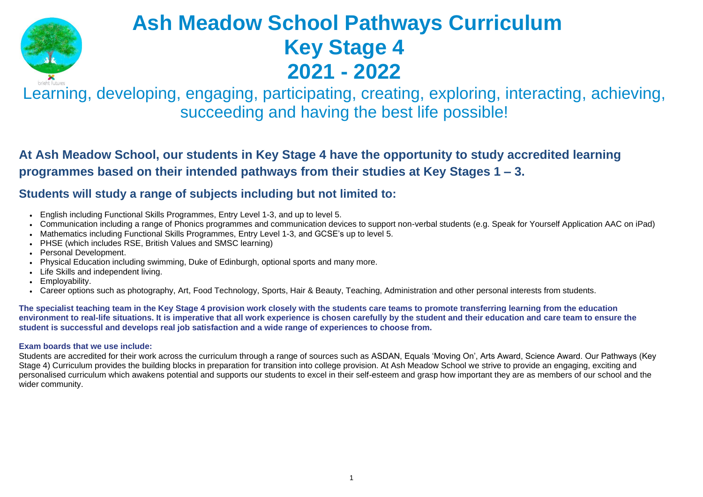



# **Ash Meadow School Pathways Curriculum Key Stage 4 2021 - 2022**

Learning, developing, engaging, participating, creating, exploring, interacting, achieving, succeeding and having the best life possible!

# **At Ash Meadow School, our students in Key Stage 4 have the opportunity to study accredited learning programmes based on their intended pathways from their studies at Key Stages 1 – 3.**

## **Students will study a range of subjects including but not limited to:**

The specialist teaching team in the Key Stage 4 provision work closely with the students care teams to promote transferring learning from the education environment to real-life situations. It is imperative that all work experience is chosen carefully by the student and their education and care team to ensure the **student is successful and develops real job satisfaction and a wide range of experiences to choose from.**

- English including Functional Skills Programmes, Entry Level 1-3, and up to level 5.
- Communication including a range of Phonics programmes and communication devices to support non-verbal students (e.g. Speak for Yourself Application AAC on iPad)
- Mathematics including Functional Skills Programmes, Entry Level 1-3, and GCSE's up to level 5.
- PHSE (which includes RSE, British Values and SMSC learning)
- Personal Development.
- Physical Education including swimming, Duke of Edinburgh, optional sports and many more.
- Life Skills and independent living.
- Employability.
- Career options such as photography, Art, Food Technology, Sports, Hair & Beauty, Teaching, Administration and other personal interests from students.

### **Exam boards that we use include:**

Students are accredited for their work across the curriculum through a range of sources such as ASDAN, Equals 'Moving On', Arts Award, Science Award. Our Pathways (Key Stage 4) Curriculum provides the building blocks in preparation for transition into college provision. At Ash Meadow School we strive to provide an engaging, exciting and personalised curriculum which awakens potential and supports our students to excel in their self-esteem and grasp how important they are as members of our school and the wider community.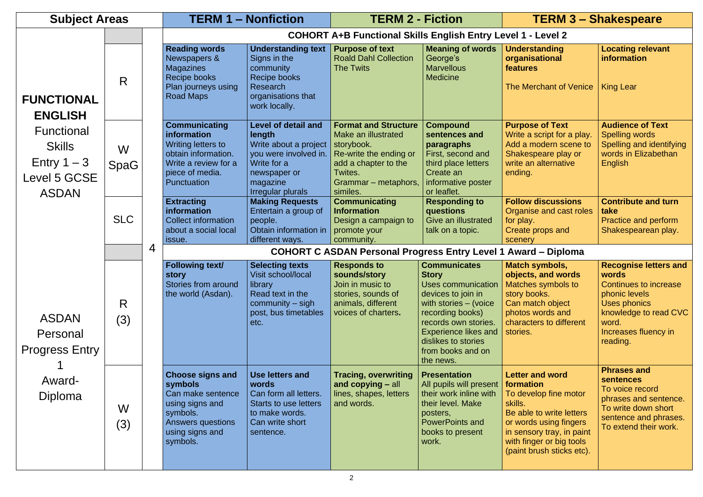| <b>Subject Areas</b>                                                                |                  |                                                                                                                                                   | <b>TERM 1 - Nonfiction</b>                                                                                                                             | <b>TERM 2 - Fiction</b>                                                                                                                                           |                                                                                                                                                                                                                                              | <b>TERM 3 - Shakespeare</b>                                                                                                                                                                                         |                                                                                                                                                                       |  |  |
|-------------------------------------------------------------------------------------|------------------|---------------------------------------------------------------------------------------------------------------------------------------------------|--------------------------------------------------------------------------------------------------------------------------------------------------------|-------------------------------------------------------------------------------------------------------------------------------------------------------------------|----------------------------------------------------------------------------------------------------------------------------------------------------------------------------------------------------------------------------------------------|---------------------------------------------------------------------------------------------------------------------------------------------------------------------------------------------------------------------|-----------------------------------------------------------------------------------------------------------------------------------------------------------------------|--|--|
|                                                                                     |                  |                                                                                                                                                   | <b>COHORT A+B Functional Skills English Entry Level 1 - Level 2</b>                                                                                    |                                                                                                                                                                   |                                                                                                                                                                                                                                              |                                                                                                                                                                                                                     |                                                                                                                                                                       |  |  |
| <b>FUNCTIONAL</b><br><b>ENGLISH</b>                                                 | R                | <b>Reading words</b><br>Newspapers &<br><b>Magazines</b><br>Recipe books<br>Plan journeys using<br><b>Road Maps</b>                               | <b>Understanding text</b><br>Signs in the<br>community<br>Recipe books<br>Research<br>organisations that<br>work locally.                              | <b>Purpose of text</b><br><b>Roald Dahl Collection</b><br><b>The Twits</b>                                                                                        | <b>Meaning of words</b><br>George's<br><b>Marvellous</b><br><b>Medicine</b>                                                                                                                                                                  | <b>Understanding</b><br>organisational<br>features<br>The Merchant of Venice                                                                                                                                        | <b>Locating relevant</b><br><b>information</b><br><b>King Lear</b>                                                                                                    |  |  |
| <b>Functional</b><br><b>Skills</b><br>Entry $1 - 3$<br>Level 5 GCSE<br><b>ASDAN</b> | W<br><b>SpaG</b> | <b>Communicating</b><br><i>information</i><br>Writing letters to<br>obtain information.<br>Write a review for a<br>piece of media.<br>Punctuation | <b>Level of detail and</b><br>length<br>Write about a project<br>you were involved in.<br>Write for a<br>newspaper or<br>magazine<br>Irregular plurals | <b>Format and Structure</b><br>Make an illustrated<br>storybook.<br>Re-write the ending or<br>add a chapter to the<br>Twites.<br>Grammar – metaphors,<br>similes. | <b>Compound</b><br>sentences and<br>paragraphs<br>First, second and<br>third place letters<br>Create an<br>informative poster<br>or leaflet.                                                                                                 | <b>Purpose of Text</b><br>Write a script for a play.<br>Add a modern scene to<br>Shakespeare play or<br>write an alternative<br>ending.                                                                             | <b>Audience of Text</b><br><b>Spelling words</b><br>Spelling and identifying<br>words in Elizabethan<br><b>English</b>                                                |  |  |
|                                                                                     | <b>SLC</b>       | <b>Extracting</b><br>information<br><b>Collect information</b><br>about a social local<br>issue.                                                  | <b>Making Requests</b><br>Entertain a group of<br>people.<br>Obtain information in<br>different ways.                                                  | <b>Communicating</b><br><b>Information</b><br>Design a campaign to<br>promote your<br>community.                                                                  | <b>Responding to</b><br>questions<br>Give an illustrated<br>talk on a topic.                                                                                                                                                                 | <b>Follow discussions</b><br>Organise and cast roles<br>for play.<br>Create props and<br>scenery                                                                                                                    | <b>Contribute and turn</b><br>take<br>Practice and perform<br>Shakespearean play.                                                                                     |  |  |
|                                                                                     |                  | 4                                                                                                                                                 |                                                                                                                                                        | <b>COHORT C ASDAN Personal Progress Entry Level 1 Award - Diploma</b>                                                                                             |                                                                                                                                                                                                                                              |                                                                                                                                                                                                                     |                                                                                                                                                                       |  |  |
| <b>ASDAN</b><br>Personal<br><b>Progress Entry</b><br>Award-<br>Diploma              | R.<br>(3)        | <b>Following text/</b><br><b>story</b><br>Stories from around<br>the world (Asdan).                                                               | <b>Selecting texts</b><br>Visit school/local<br>library<br>Read text in the<br>$community - sigh$<br>post, bus timetables<br>etc.                      | <b>Responds to</b><br>sounds/story<br>Join in music to<br>stories, sounds of<br>animals, different<br>voices of charters.                                         | <b>Communicates</b><br><b>Story</b><br>Uses communication<br>devices to join in<br>with stories – (voice<br>recording books)<br>records own stories.<br><b>Experience likes and</b><br>dislikes to stories<br>from books and on<br>the news. | <b>Match symbols,</b><br>objects, and words<br>Matches symbols to<br>story books.<br>Can match object<br>photos words and<br>characters to different<br>stories.                                                    | <b>Recognise letters and</b><br>words<br>Continues to increase<br>phonic levels<br>Uses phonics<br>knowledge to read CVC<br>word.<br>Increases fluency in<br>reading. |  |  |
|                                                                                     | W<br>(3)         | <b>Choose signs and</b><br>symbols<br>Can make sentence<br>using signs and<br>symbols.<br><b>Answers questions</b><br>using signs and<br>symbols. | <b>Use letters and</b><br>words<br>Can form all letters.<br><b>Starts to use letters</b><br>to make words.<br>Can write short<br>sentence.             | <b>Tracing, overwriting</b><br>and copying – all<br>lines, shapes, letters<br>and words.                                                                          | <b>Presentation</b><br>All pupils will present<br>their work inline with<br>their level. Make<br>posters,<br><b>PowerPoints and</b><br>books to present<br>work.                                                                             | <b>Letter and word</b><br>formation<br>To develop fine motor<br>skills.<br>Be able to write letters<br>or words using fingers<br>in sensory tray, in paint<br>with finger or big tools<br>(paint brush sticks etc). | <b>Phrases and</b><br><b>sentences</b><br>To voice record<br>phrases and sentence.<br>To write down short<br>sentence and phrases.<br>To extend their work.           |  |  |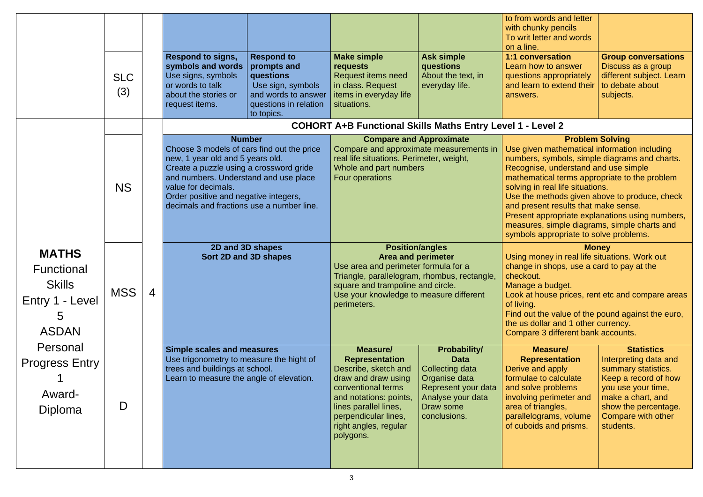|                                                                                                                                                                  | <b>SLC</b><br>(3) |                | <b>Respond to signs,</b><br>symbols and words<br>Use signs, symbols<br>or words to talk<br>about the stories or<br>request items.                                                                                                                                               | <b>Respond to</b><br>prompts and<br>questions<br>Use sign, symbols<br>and words to answer<br>questions in relation<br>to topics. | <b>Make simple</b><br><b>requests</b><br><b>Request items need</b><br>in class. Request<br>items in everyday life<br>situations.                                                                                                           | <b>Ask simple</b><br>questions<br>About the text, in<br>everyday life.                                                                          | to from words and letter<br>with chunky pencils<br>To writ letter and words<br>on a line.<br><b>1:1 conversation</b><br>Learn how to answer<br>questions appropriately<br>and learn to extend their<br>answers.                                                                                                                                                                                                                                                                            | <b>Group conversations</b><br>Discuss as a group<br>different subject. Learn<br>to debate about<br>subjects.                                                                                    |  |
|------------------------------------------------------------------------------------------------------------------------------------------------------------------|-------------------|----------------|---------------------------------------------------------------------------------------------------------------------------------------------------------------------------------------------------------------------------------------------------------------------------------|----------------------------------------------------------------------------------------------------------------------------------|--------------------------------------------------------------------------------------------------------------------------------------------------------------------------------------------------------------------------------------------|-------------------------------------------------------------------------------------------------------------------------------------------------|--------------------------------------------------------------------------------------------------------------------------------------------------------------------------------------------------------------------------------------------------------------------------------------------------------------------------------------------------------------------------------------------------------------------------------------------------------------------------------------------|-------------------------------------------------------------------------------------------------------------------------------------------------------------------------------------------------|--|
|                                                                                                                                                                  |                   |                |                                                                                                                                                                                                                                                                                 |                                                                                                                                  | <b>COHORT A+B Functional Skills Maths Entry Level 1 - Level 2</b>                                                                                                                                                                          |                                                                                                                                                 |                                                                                                                                                                                                                                                                                                                                                                                                                                                                                            |                                                                                                                                                                                                 |  |
|                                                                                                                                                                  | <b>NS</b>         |                | Choose 3 models of cars find out the price<br>new, 1 year old and 5 years old.<br>Create a puzzle using a crossword gride<br>and numbers. Understand and use place<br>value for decimals.<br>Order positive and negative integers,<br>decimals and fractions use a number line. | <b>Number</b>                                                                                                                    | <b>Compare and Approximate</b><br>Compare and approximate measurements in<br>real life situations. Perimeter, weight,<br>Whole and part numbers<br>Four operations                                                                         |                                                                                                                                                 | <b>Problem Solving</b><br>Use given mathematical information including<br>numbers, symbols, simple diagrams and charts.<br>Recognise, understand and use simple<br>mathematical terms appropriate to the problem<br>solving in real life situations.<br>Use the methods given above to produce, check<br>and present results that make sense.<br>Present appropriate explanations using numbers,<br>measures, simple diagrams, simple charts and<br>symbols appropriate to solve problems. |                                                                                                                                                                                                 |  |
| <b>MATHS</b><br><b>Functional</b><br><b>Skills</b><br>Entry 1 - Level<br>$\mathcal{C}$<br><b>ASDAN</b><br>Personal<br><b>Progress Entry</b><br>Award-<br>Diploma | <b>MSS</b>        | $\overline{4}$ |                                                                                                                                                                                                                                                                                 | 2D and 3D shapes<br>Sort 2D and 3D shapes                                                                                        | <b>Position/angles</b><br><b>Area and perimeter</b><br>Use area and perimeter formula for a<br>Triangle, parallelogram, rhombus, rectangle,<br>square and trampoline and circle.<br>Use your knowledge to measure different<br>perimeters. |                                                                                                                                                 | <b>Money</b><br>Using money in real life situations. Work out<br>change in shops, use a card to pay at the<br>checkout.<br>Manage a budget.<br>Look at house prices, rent etc and compare areas<br>of living.<br>Find out the value of the pound against the euro,<br>the us dollar and 1 other currency.<br>Compare 3 different bank accounts.                                                                                                                                            |                                                                                                                                                                                                 |  |
|                                                                                                                                                                  | D                 |                | <b>Simple scales and measures</b><br>Use trigonometry to measure the hight of<br>trees and buildings at school.<br>Learn to measure the angle of elevation.                                                                                                                     |                                                                                                                                  | Measure/<br><b>Representation</b><br>Describe, sketch and<br>draw and draw using<br>conventional terms<br>and notations: points,<br>lines parallel lines,<br>perpendicular lines,<br>right angles, regular<br>polygons.                    | <b>Probability/</b><br><b>Data</b><br>Collecting data<br>Organise data<br>Represent your data<br>Analyse your data<br>Draw some<br>conclusions. | <b>Measure/</b><br><b>Representation</b><br>Derive and apply<br>formulae to calculate<br>and solve problems<br>involving perimeter and<br>area of triangles,<br>parallelograms, volume<br>of cuboids and prisms.                                                                                                                                                                                                                                                                           | <b>Statistics</b><br>Interpreting data and<br>summary statistics.<br>Keep a record of how<br>you use your time,<br>make a chart, and<br>show the percentage.<br>Compare with other<br>students. |  |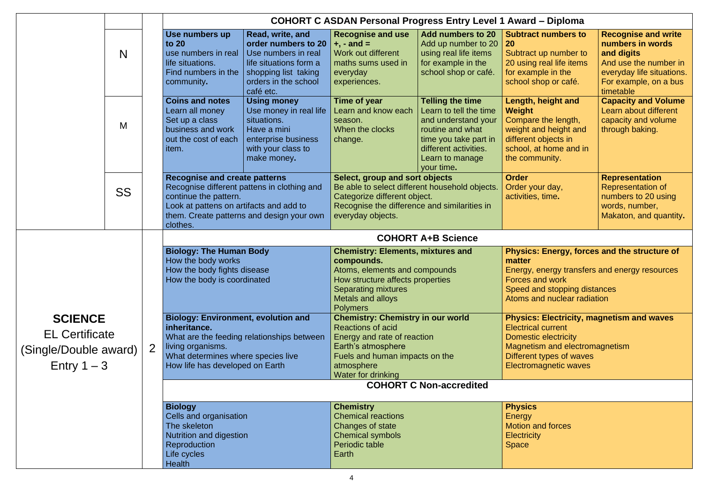- 
- 
- 

- 
- 
- 
- 
- 

|                                                                      |           | <b>COHORT C ASDAN Personal Progress Entry Level 1 Award - Diploma</b>                                                                    |                                                                                                                                                                                                                  |                                                                                                                                                                                                                |                                                                                                                                                                                       |                                                                                                                                                                                                  |                                                                                                                                                          |  |
|----------------------------------------------------------------------|-----------|------------------------------------------------------------------------------------------------------------------------------------------|------------------------------------------------------------------------------------------------------------------------------------------------------------------------------------------------------------------|----------------------------------------------------------------------------------------------------------------------------------------------------------------------------------------------------------------|---------------------------------------------------------------------------------------------------------------------------------------------------------------------------------------|--------------------------------------------------------------------------------------------------------------------------------------------------------------------------------------------------|----------------------------------------------------------------------------------------------------------------------------------------------------------|--|
| N                                                                    |           | Use numbers up<br>to $20$<br>use numbers in real<br>life situations.<br>Find numbers in the<br>community.                                | Read, write, and<br>order numbers to 20<br>Use numbers in real<br>life situations form a<br>shopping list taking<br>orders in the school<br>café etc.                                                            | <b>Recognise and use</b><br>$+, -$ and $=$<br>Work out different<br>maths sums used in<br>everyday<br>experiences.                                                                                             | <b>Add numbers to 20</b><br>Add up number to 20<br>using real life items<br>for example in the<br>school shop or café.                                                                | <b>Subtract numbers to</b><br><b>20</b><br>Subtract up number to<br>20 using real life items<br>for example in the<br>school shop or café.                                                       | <b>Recognise and write</b><br>numbers in words<br>and digits<br>And use the number in<br>everyday life situations.<br>For example, on a bus<br>timetable |  |
|                                                                      | M         | <b>Coins and notes</b><br>Learn all money<br>Set up a class<br>business and work<br>out the cost of each<br><i>item.</i>                 | <b>Using money</b><br>Use money in real life<br>situations.<br>Have a mini<br>enterprise business<br>with your class to<br>make money.                                                                           | Time of year<br>Learn and know each<br>season.<br>When the clocks<br>change.                                                                                                                                   | <b>Telling the time</b><br>Learn to tell the time<br>and understand your<br>routine and what<br>time you take part in<br>different activities.<br>Learn to manage<br>your time.       | Length, height and<br><b>Weight</b><br>Compare the length,<br>weight and height and<br>different objects in<br>school, at home and in<br>the community.                                          | <b>Capacity and Volume</b><br>Learn about different<br>capacity and volume<br>through baking.                                                            |  |
|                                                                      | <b>SS</b> |                                                                                                                                          | <b>Recognise and create patterns</b><br>Recognise different pattens in clothing and<br>continue the pattern.<br>Look at pattens on artifacts and add to<br>them. Create patterns and design your own<br>clothes. |                                                                                                                                                                                                                | Select, group and sort objects<br>Be able to select different household objects.<br>Categorize different object.<br>Recognise the difference and similarities in<br>everyday objects. |                                                                                                                                                                                                  | <b>Representation</b><br><b>Representation of</b><br>numbers to 20 using<br>words, number,<br>Makaton, and quantity.                                     |  |
|                                                                      |           | <b>COHORT A+B Science</b>                                                                                                                |                                                                                                                                                                                                                  |                                                                                                                                                                                                                |                                                                                                                                                                                       |                                                                                                                                                                                                  |                                                                                                                                                          |  |
|                                                                      |           | <b>Biology: The Human Body</b><br>How the body works<br>How the body fights disease<br>How the body is coordinated                       |                                                                                                                                                                                                                  | <b>Chemistry: Elements, mixtures and</b><br>compounds.<br>Atoms, elements and compounds<br>How structure affects properties<br><b>Separating mixtures</b><br>Metals and alloys<br><b>Polymers</b>              |                                                                                                                                                                                       | Physics: Energy, forces and the structure of<br>matter<br>Energy, energy transfers and energy resources<br><b>Forces and work</b><br>Speed and stopping distances<br>Atoms and nuclear radiation |                                                                                                                                                          |  |
| <b>SCIENCE</b>                                                       |           | <b>Biology: Environment, evolution and</b><br>inheritance.                                                                               |                                                                                                                                                                                                                  | <b>Chemistry: Chemistry in our world</b><br><b>Reactions of acid</b>                                                                                                                                           |                                                                                                                                                                                       | <b>Physics: Electricity, magnetism and waves</b><br><b>Electrical current</b>                                                                                                                    |                                                                                                                                                          |  |
| <b>EL Certificate</b><br>2<br>(Single/Double award)<br>Entry $1 - 3$ |           | What are the feeding relationships between<br>living organisms.<br>What determines where species live<br>How life has developed on Earth |                                                                                                                                                                                                                  | Energy and rate of reaction<br>Earth's atmosphere<br>Fuels and human impacts on the<br>atmosphere<br>Water for drinking                                                                                        |                                                                                                                                                                                       | Domestic electricity<br>Magnetism and electromagnetism<br>Different types of waves<br><b>Electromagnetic waves</b>                                                                               |                                                                                                                                                          |  |
|                                                                      |           | <b>COHORT C Non-accredited</b>                                                                                                           |                                                                                                                                                                                                                  |                                                                                                                                                                                                                |                                                                                                                                                                                       |                                                                                                                                                                                                  |                                                                                                                                                          |  |
|                                                                      |           | <b>Biology</b><br>Cells and organisation<br>The skeleton<br>Nutrition and digestion<br>Reproduction<br>Life cycles<br>Health             |                                                                                                                                                                                                                  | <b>Chemistry</b><br><b>Physics</b><br><b>Chemical reactions</b><br>Energy<br><b>Motion and forces</b><br>Changes of state<br><b>Chemical symbols</b><br><b>Electricity</b><br>Periodic table<br>Space<br>Earth |                                                                                                                                                                                       |                                                                                                                                                                                                  |                                                                                                                                                          |  |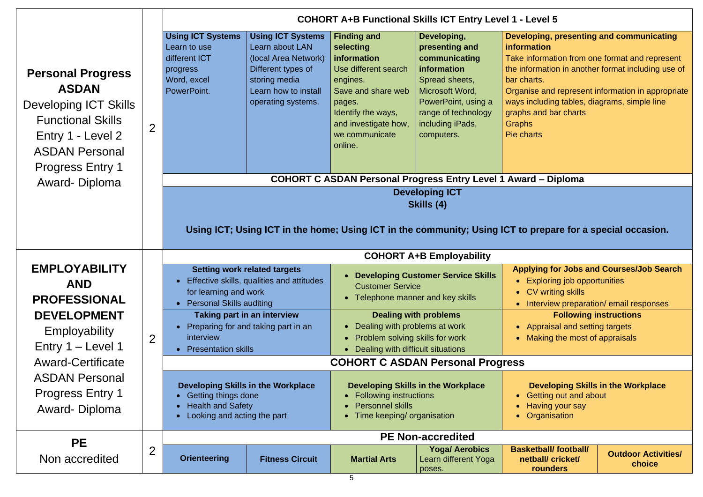### **Developing, presenting and communicating iation**

Iformation from one format and represent ormation in another format including use of arts.

se and represent information in appropriate ncluding tables, diagrams, simple line

and bar charts

### **CODE ASSEM C**

### **prepare for a special occasion.**

### **Applying for Jobs and Courses/Job Search** Exploring job opportunities • CV writing skills hterview preparation/ email responses **Following instructions ppraisal and setting targets**

laking the most of appraisals

|                                                                                                                                                                               |                | <b>COHORT A+B Functional Skills ICT Entry Level 1 - Level 5</b>                                                                                      |                                                                                                                                                          |                                                                                                                                                                                               |                                                                                                                                                                                    |                                                                                                                                                                           |  |  |
|-------------------------------------------------------------------------------------------------------------------------------------------------------------------------------|----------------|------------------------------------------------------------------------------------------------------------------------------------------------------|----------------------------------------------------------------------------------------------------------------------------------------------------------|-----------------------------------------------------------------------------------------------------------------------------------------------------------------------------------------------|------------------------------------------------------------------------------------------------------------------------------------------------------------------------------------|---------------------------------------------------------------------------------------------------------------------------------------------------------------------------|--|--|
| <b>Personal Progress</b><br><b>ASDAN</b><br><b>Developing ICT Skills</b><br><b>Functional Skills</b><br>Entry 1 - Level 2<br><b>ASDAN Personal</b><br><b>Progress Entry 1</b> | $\overline{2}$ | <b>Using ICT Systems</b><br>Learn to use<br>different ICT<br>progress<br>Word, excel<br>PowerPoint.                                                  | <b>Using ICT Systems</b><br>Learn about LAN<br>(local Area Network)<br>Different types of<br>storing media<br>Learn how to install<br>operating systems. | <b>Finding and</b><br>selecting<br>information<br>Use different search<br>engines.<br>Save and share web<br>pages.<br>Identify the ways,<br>and investigate how,<br>we communicate<br>online. | Developing,<br>presenting and<br>communicating<br>information<br>Spread sheets,<br>Microsoft Word,<br>PowerPoint, using a<br>range of technology<br>including iPads,<br>computers. | Developing, p<br>information<br><b>Take informati</b><br>the information<br>bar charts.<br>Organise and<br>ways including<br>graphs and ba<br><b>Graphs</b><br>Pie charts |  |  |
| Award-Diploma                                                                                                                                                                 |                |                                                                                                                                                      |                                                                                                                                                          | <b>COHORT C ASDAN Personal Progress Entry Level 1 Award - Di</b>                                                                                                                              |                                                                                                                                                                                    |                                                                                                                                                                           |  |  |
|                                                                                                                                                                               |                |                                                                                                                                                      |                                                                                                                                                          | Using ICT; Using ICT in the home; Using ICT in the community; Using ICT to prepar                                                                                                             | <b>Developing ICT</b><br>Skills (4)                                                                                                                                                |                                                                                                                                                                           |  |  |
|                                                                                                                                                                               |                |                                                                                                                                                      |                                                                                                                                                          |                                                                                                                                                                                               | <b>COHORT A+B Employability</b>                                                                                                                                                    |                                                                                                                                                                           |  |  |
| <b>EMPLOYABILITY</b><br><b>AND</b><br><b>PROFESSIONAL</b>                                                                                                                     | $\overline{2}$ | <b>Setting work related targets</b><br>Effective skills, qualities and attitudes<br>$\bullet$<br>for learning and work<br>• Personal Skills auditing |                                                                                                                                                          | <b>Developing Customer Service Skills</b><br>$\bullet$<br><b>Customer Service</b><br>Telephone manner and key skills<br>$\bullet$                                                             |                                                                                                                                                                                    | <b>Applying fo</b><br>Explorin<br>$\bullet$<br><b>CV</b> writin<br>$\bullet$<br><b>Interviev</b><br>$\bullet$                                                             |  |  |
| <b>DEVELOPMENT</b><br>Employability<br>Entry 1 - Level 1                                                                                                                      |                | <b>Taking part in an interview</b><br>Preparing for and taking part in an<br>interview<br><b>Presentation skills</b><br>$\bullet$                    |                                                                                                                                                          | <b>Dealing with problems</b><br>Dealing with problems at work<br>$\bullet$<br>$\bullet$<br>Problem solving skills for work<br>$\bullet$<br>Dealing with difficult situations<br>$\bullet$     |                                                                                                                                                                                    | Appraisa<br>Making 1                                                                                                                                                      |  |  |
| <b>Award-Certificate</b>                                                                                                                                                      |                | <b>COHORT C ASDAN Personal Progress</b>                                                                                                              |                                                                                                                                                          |                                                                                                                                                                                               |                                                                                                                                                                                    |                                                                                                                                                                           |  |  |
| <b>ASDAN Personal</b><br><b>Progress Entry 1</b><br>Award-Diploma                                                                                                             |                | <b>Developing Skills in the Workplace</b><br><b>Getting things done</b><br><b>Health and Safety</b><br>Looking and acting the part                   |                                                                                                                                                          | <b>Developing Skills in the Workplace</b><br><b>Following instructions</b><br><b>Personnel skills</b><br>Time keeping/ organisation                                                           |                                                                                                                                                                                    | <b>Develo</b><br>Getting<br>Having y<br><b>Organisa</b>                                                                                                                   |  |  |
| <b>PE</b>                                                                                                                                                                     |                |                                                                                                                                                      |                                                                                                                                                          |                                                                                                                                                                                               | <b>PE Non-accredited</b>                                                                                                                                                           |                                                                                                                                                                           |  |  |
| Non accredited                                                                                                                                                                | $\overline{2}$ | <b>Orienteering</b>                                                                                                                                  | <b>Fitness Circuit</b>                                                                                                                                   | <b>Martial Arts</b>                                                                                                                                                                           | <b>Yoga/ Aerobics</b><br>Learn different Yoga<br>poses.                                                                                                                            | <b>Basketball/</b><br>netball/ cl<br>round                                                                                                                                |  |  |

### **Base** football **netball/ cricket/ rounders**

### **Developing Skills in the Workplace**

**Betting out and about Having your say rganisation** 

> **Outdoor Activities/ choice**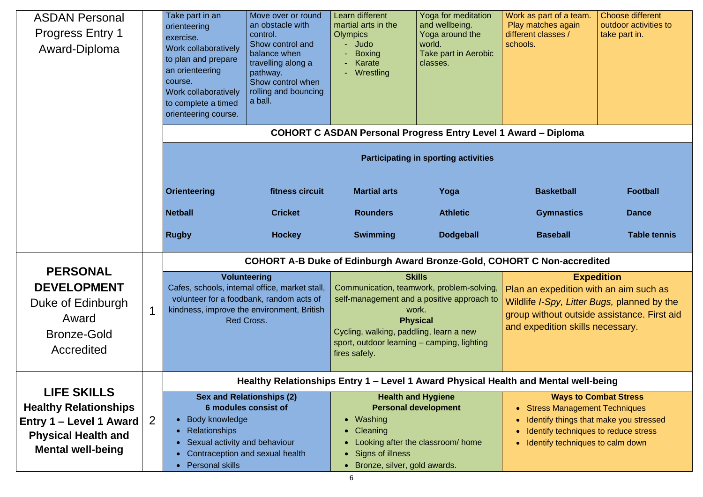| <b>ASDAN Personal</b><br><b>Progress Entry 1</b><br>Award-Diploma                                                                           |              | Take part in an<br>orienteering<br>exercise.<br>Work collaboratively<br>to plan and prepare<br>an orienteering<br>course.<br>Work collaboratively<br>to complete a timed<br>orienteering course. | Move over or round<br>an obstacle with<br>control.<br>Show control and<br>balance when<br>travelling along a<br>pathway.<br>Show control when<br>rolling and bouncing<br>a ball. | Learn different<br>martial arts in the<br><b>Olympics</b><br>- Judo<br><b>Boxing</b><br>$\blacksquare$<br>Karate<br>- Wrestling                                                                                                                 | Yoga for meditation<br>and wellbeing.<br>Yoga around the<br>world.<br><b>Take part in Aerobic</b><br>classes. | Work as part of a team.<br>Play matches again<br>different classes /<br>schools.                                                                                                                     | <b>Choose different</b><br>outdoor activities to<br>take part in. |  |  |  |
|---------------------------------------------------------------------------------------------------------------------------------------------|--------------|--------------------------------------------------------------------------------------------------------------------------------------------------------------------------------------------------|----------------------------------------------------------------------------------------------------------------------------------------------------------------------------------|-------------------------------------------------------------------------------------------------------------------------------------------------------------------------------------------------------------------------------------------------|---------------------------------------------------------------------------------------------------------------|------------------------------------------------------------------------------------------------------------------------------------------------------------------------------------------------------|-------------------------------------------------------------------|--|--|--|
|                                                                                                                                             |              |                                                                                                                                                                                                  | <b>COHORT C ASDAN Personal Progress Entry Level 1 Award - Diploma</b>                                                                                                            |                                                                                                                                                                                                                                                 |                                                                                                               |                                                                                                                                                                                                      |                                                                   |  |  |  |
|                                                                                                                                             |              | <b>Participating in sporting activities</b>                                                                                                                                                      |                                                                                                                                                                                  |                                                                                                                                                                                                                                                 |                                                                                                               |                                                                                                                                                                                                      |                                                                   |  |  |  |
|                                                                                                                                             |              | <b>Orienteering</b>                                                                                                                                                                              | fitness circuit                                                                                                                                                                  | <b>Martial arts</b>                                                                                                                                                                                                                             | Yoga                                                                                                          | <b>Basketball</b>                                                                                                                                                                                    | <b>Football</b>                                                   |  |  |  |
|                                                                                                                                             |              | <b>Netball</b>                                                                                                                                                                                   | <b>Cricket</b>                                                                                                                                                                   | <b>Rounders</b>                                                                                                                                                                                                                                 | <b>Athletic</b>                                                                                               | <b>Gymnastics</b>                                                                                                                                                                                    | <b>Dance</b>                                                      |  |  |  |
|                                                                                                                                             |              | <b>Rugby</b>                                                                                                                                                                                     | <b>Hockey</b>                                                                                                                                                                    | <b>Swimming</b>                                                                                                                                                                                                                                 | <b>Dodgeball</b>                                                                                              | <b>Baseball</b>                                                                                                                                                                                      | <b>Table tennis</b>                                               |  |  |  |
|                                                                                                                                             |              | <b>COHORT A-B Duke of Edinburgh Award Bronze-Gold, COHORT C Non-accredited</b>                                                                                                                   |                                                                                                                                                                                  |                                                                                                                                                                                                                                                 |                                                                                                               |                                                                                                                                                                                                      |                                                                   |  |  |  |
| <b>PERSONAL</b><br><b>DEVELOPMENT</b><br>Duke of Edinburgh<br>Award<br>Bronze-Gold<br>Accredited                                            |              | <b>Volunteering</b><br>Cafes, schools, internal office, market stall,<br>volunteer for a foodbank, random acts of<br>kindness, improve the environment, British<br><b>Red Cross.</b>             |                                                                                                                                                                                  | <b>Skills</b><br>Communication, teamwork, problem-solving,<br>self-management and a positive approach to<br>work.<br><b>Physical</b><br>Cycling, walking, paddling, learn a new<br>sport, outdoor learning – camping, lighting<br>fires safely. |                                                                                                               | <b>Expedition</b><br>Plan an expedition with an aim such as<br>Wildlife <i>I-Spy, Litter Bugs, planned by the</i><br>group without outside assistance. First aid<br>and expedition skills necessary. |                                                                   |  |  |  |
|                                                                                                                                             |              | Healthy Relationships Entry 1 - Level 1 Award Physical Health and Mental well-being                                                                                                              |                                                                                                                                                                                  |                                                                                                                                                                                                                                                 |                                                                                                               |                                                                                                                                                                                                      |                                                                   |  |  |  |
| <b>LIFE SKILLS</b><br><b>Healthy Relationships</b><br>Entry 1 – Level 1 Award $ $<br><b>Physical Health and</b><br><b>Mental well-being</b> | $\mathbf{2}$ | • Body knowledge<br>• Relationships<br>• Sexual activity and behaviour<br>• Personal skills                                                                                                      | <b>Sex and Relationships (2)</b><br><b>6 modules consist of</b><br>Contraception and sexual health                                                                               | • Washing<br>• Cleaning<br>• Signs of illness<br>Bronze, silver, gold awards.<br>$\bullet$                                                                                                                                                      | <b>Health and Hygiene</b><br><b>Personal development</b><br>Looking after the classroom/ home                 | <b>Stress Management Techniques</b><br>$\bullet$<br>Identify things that make you stressed<br>$\bullet$<br>Identify techniques to reduce stress<br>Identify techniques to calm down<br>$\bullet$     | <b>Ways to Combat Stress</b>                                      |  |  |  |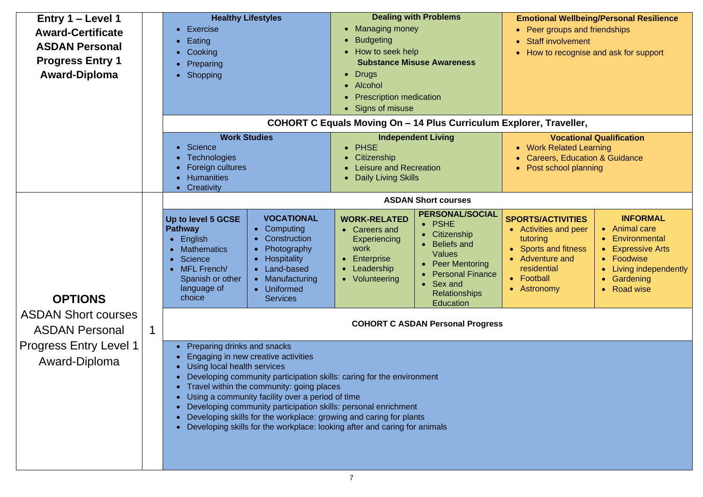### **Emotional Wellbeing/Personal Resilience**  eer groups and friendships Staff involvement fow to recognise and ask for support

### **COMB** Traveller,

### **Vocational Qualification**

**Vork Related Learning** Careers, Education & Guidance <sup>o</sup>ost school planning

### **TS/ACTIVITIES**

tivities and peer oring orts and fitness venture and sidential otball tronomy

- Animal care
- Environmental
- Expressive Arts
- Foodwise
- Living independently
- Gardening
- Road wise

| Entry 1 – Level 1<br><b>Award-Certificate</b><br><b>ASDAN Personal</b><br><b>Progress Entry 1</b><br><b>Award-Diploma</b> |   | <b>Exercise</b><br>Eating<br>$\bullet$<br>Cooking<br>Preparing<br><b>Shopping</b>                                                                                                                                                                                                                                                                                                                                                                                                                                                           | <b>Healthy Lifestyles</b>                                                                                                                                 | <b>Dealing with Problems</b><br><b>Managing money</b><br><b>Budgeting</b><br>How to seek help<br><b>Substance Misuse Awareness</b><br><b>Drugs</b><br>• Alcohol<br><b>Prescription medication</b><br>• Signs of misuse<br><b>COHORT C Equals Moving On - 14 Plus Curriculum Explore</b> | <b>Emc</b><br>$\bullet$ P<br>$\bullet$ S<br>$\bullet$ H                                                                                                                                                                                           |                                                                                     |
|---------------------------------------------------------------------------------------------------------------------------|---|---------------------------------------------------------------------------------------------------------------------------------------------------------------------------------------------------------------------------------------------------------------------------------------------------------------------------------------------------------------------------------------------------------------------------------------------------------------------------------------------------------------------------------------------|-----------------------------------------------------------------------------------------------------------------------------------------------------------|-----------------------------------------------------------------------------------------------------------------------------------------------------------------------------------------------------------------------------------------------------------------------------------------|---------------------------------------------------------------------------------------------------------------------------------------------------------------------------------------------------------------------------------------------------|-------------------------------------------------------------------------------------|
|                                                                                                                           |   | <b>Science</b><br><b>Technologies</b><br>Foreign cultures<br><b>Humanities</b><br>Creativity<br>$\bullet$                                                                                                                                                                                                                                                                                                                                                                                                                                   | <b>Work Studies</b>                                                                                                                                       | <b>PHSE</b><br>Citizenship<br><b>Leisure and Recreation</b><br><b>Daily Living Skills</b>                                                                                                                                                                                               | <b>Independent Living</b>                                                                                                                                                                                                                         | $\bullet$ M<br>$\mathbf C$<br>$\bullet$ P                                           |
| <b>OPTIONS</b>                                                                                                            |   | Up to level 5 GCSE<br><b>Pathway</b><br>English<br><b>Mathematics</b><br>Science<br>MFL French/<br>Spanish or other<br>language of<br>choice                                                                                                                                                                                                                                                                                                                                                                                                | <b>VOCATIONAL</b><br>Computing<br>Construction<br>Photography<br><b>Hospitality</b><br>Land-based<br>Manufacturing<br><b>Uniformed</b><br><b>Services</b> | <b>WORK-RELATED</b><br><b>Careers and</b><br><b>Experiencing</b><br>work<br><b>Enterprise</b><br>Leadership<br>Volunteering                                                                                                                                                             | <b>ASDAN Short courses</b><br><b>PERSONAL/SOCIAL</b><br><b>PSHE</b><br>$\bullet$<br>Citizenship<br><b>Beliefs and</b><br><b>Values</b><br><b>Peer Mentoring</b><br><b>Personal Finance</b><br>Sex and<br><b>Relationships</b><br><b>Education</b> | <b>SPORT</b><br>Act<br>tutc<br><b>Spo</b><br><b>Adv</b><br>res<br><b>Foc</b><br>Ast |
| <b>ASDAN Short courses</b><br><b>ASDAN Personal</b><br><b>Progress Entry Level 1</b><br>Award-Diploma                     | 1 | <b>COHORT C ASDAN Personal Progress</b><br>Preparing drinks and snacks<br>Engaging in new creative activities<br>Using local health services<br>Developing community participation skills: caring for the environment<br>Travel within the community: going places<br>Using a community facility over a period of time<br>Developing community participation skills: personal enrichment<br>Developing skills for the workplace: growing and caring for plants<br>Developing skills for the workplace: looking after and caring for animals |                                                                                                                                                           |                                                                                                                                                                                                                                                                                         |                                                                                                                                                                                                                                                   |                                                                                     |

### **INFORMAL**